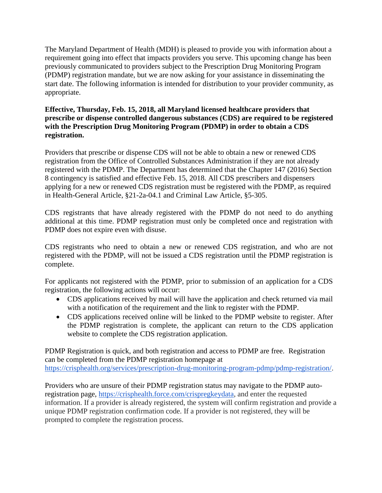The Maryland Department of Health (MDH) is pleased to provide you with information about a requirement going into effect that impacts providers you serve. This upcoming change has been previously communicated to providers subject to the Prescription Drug Monitoring Program (PDMP) registration mandate, but we are now asking for your assistance in disseminating the start date. The following information is intended for distribution to your provider community, as appropriate.

## **Effective, Thursday, Feb. 15, 2018, all Maryland licensed healthcare providers that prescribe or dispense controlled dangerous substances (CDS) are required to be registered with the Prescription Drug Monitoring Program (PDMP) in order to obtain a CDS registration.**

Providers that prescribe or dispense CDS will not be able to obtain a new or renewed CDS registration from the Office of Controlled Substances Administration if they are not already registered with the PDMP. The Department has determined that the Chapter 147 (2016) Section 8 contingency is satisfied and effective Feb. 15, 2018. All CDS prescribers and dispensers applying for a new or renewed CDS registration must be registered with the PDMP, as required in Health-General Article, §21-2a-04.1 and Criminal Law Article, §5-305.

CDS registrants that have already registered with the PDMP do not need to do anything additional at this time. PDMP registration must only be completed once and registration with PDMP does not expire even with disuse.

CDS registrants who need to obtain a new or renewed CDS registration, and who are not registered with the PDMP, will not be issued a CDS registration until the PDMP registration is complete.

For applicants not registered with the PDMP, prior to submission of an application for a CDS registration, the following actions will occur:

- CDS applications received by mail will have the application and check returned via mail with a notification of the requirement and the link to register with the PDMP.
- CDS applications received online will be linked to the PDMP website to register. After the PDMP registration is complete, the applicant can return to the CDS application website to complete the CDS registration application.

PDMP Registration is quick, and both registration and access to PDMP are free. Registration can be completed from the PDMP registration homepage a[t](https://crisphealth.org/services/prescription-drug-monitoring-program-pdmp/pdmp-registration/) [https://crisphealth.org/services/prescription-drug-monitoring-program-pdmp/pdmp-registration/.](https://crisphealth.org/services/prescription-drug-monitoring-program-pdmp/pdmp-registration/)

Providers who are unsure of their PDMP registration status may navigate to the PDMP autoregistration page, [https://crisphealth.force.com/crispregkeydata,](https://crisphealth.force.com/crispregkeydata) and enter the requested information. If a provider is already registered, the system will confirm registration and provide a unique PDMP registration confirmation code. If a provider is not registered, they will be prompted to complete the registration process.